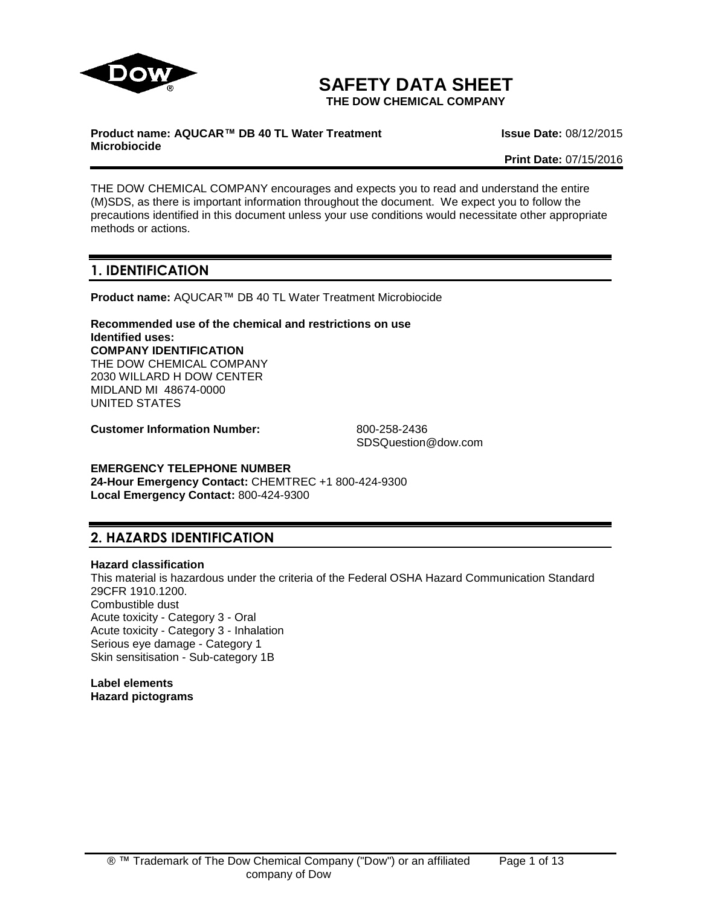

# **SAFETY DATA SHEET**

**THE DOW CHEMICAL COMPANY**

### **Product name: AQUCAR™ DB 40 TL Water Treatment Microbiocide**

**Issue Date:** 08/12/2015

**Print Date:** 07/15/2016

THE DOW CHEMICAL COMPANY encourages and expects you to read and understand the entire (M)SDS, as there is important information throughout the document. We expect you to follow the precautions identified in this document unless your use conditions would necessitate other appropriate methods or actions.

# **1. IDENTIFICATION**

**Product name:** AQUCAR™ DB 40 TL Water Treatment Microbiocide

**Recommended use of the chemical and restrictions on use Identified uses: COMPANY IDENTIFICATION** THE DOW CHEMICAL COMPANY 2030 WILLARD H DOW CENTER MIDLAND MI 48674-0000 UNITED STATES

**Customer Information Number:** 800-258-2436

SDSQuestion@dow.com

**EMERGENCY TELEPHONE NUMBER 24-Hour Emergency Contact:** CHEMTREC +1 800-424-9300 **Local Emergency Contact:** 800-424-9300

# **2. HAZARDS IDENTIFICATION**

#### **Hazard classification**

This material is hazardous under the criteria of the Federal OSHA Hazard Communication Standard 29CFR 1910.1200. Combustible dust Acute toxicity - Category 3 - Oral Acute toxicity - Category 3 - Inhalation Serious eye damage - Category 1 Skin sensitisation - Sub-category 1B

**Label elements Hazard pictograms**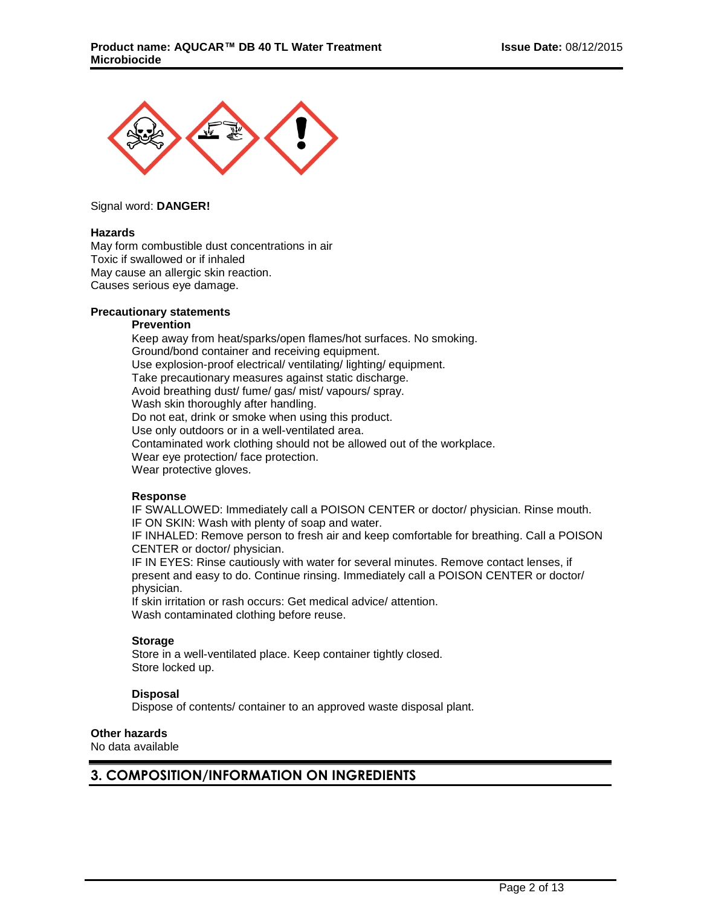

Signal word: **DANGER!**

#### **Hazards**

May form combustible dust concentrations in air Toxic if swallowed or if inhaled May cause an allergic skin reaction. Causes serious eye damage.

## **Precautionary statements**

#### **Prevention**

Keep away from heat/sparks/open flames/hot surfaces. No smoking. Ground/bond container and receiving equipment. Use explosion-proof electrical/ ventilating/ lighting/ equipment. Take precautionary measures against static discharge. Avoid breathing dust/ fume/ gas/ mist/ vapours/ spray. Wash skin thoroughly after handling. Do not eat, drink or smoke when using this product. Use only outdoors or in a well-ventilated area. Contaminated work clothing should not be allowed out of the workplace. Wear eye protection/ face protection. Wear protective gloves.

#### **Response**

IF SWALLOWED: Immediately call a POISON CENTER or doctor/ physician. Rinse mouth. IF ON SKIN: Wash with plenty of soap and water.

IF INHALED: Remove person to fresh air and keep comfortable for breathing. Call a POISON CENTER or doctor/ physician.

IF IN EYES: Rinse cautiously with water for several minutes. Remove contact lenses, if present and easy to do. Continue rinsing. Immediately call a POISON CENTER or doctor/ physician.

If skin irritation or rash occurs: Get medical advice/ attention. Wash contaminated clothing before reuse.

#### **Storage**

Store in a well-ventilated place. Keep container tightly closed. Store locked up.

#### **Disposal**

Dispose of contents/ container to an approved waste disposal plant.

#### **Other hazards**

No data available

# **3. COMPOSITION/INFORMATION ON INGREDIENTS**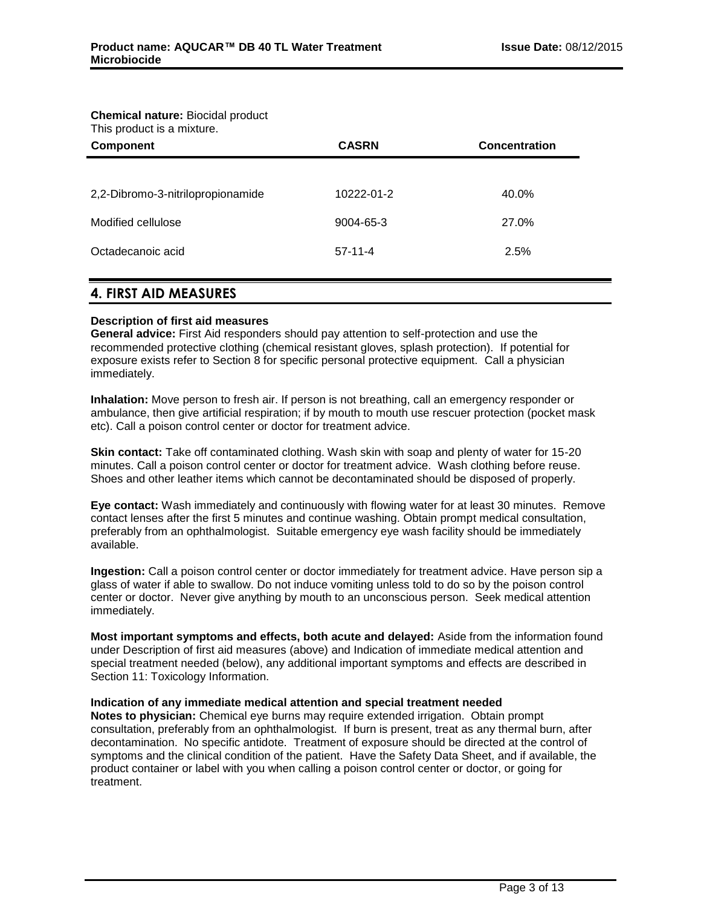#### **Chemical nature:** Biocidal product This product is a mixture.

| This product is a mixture.<br><b>Component</b> | <b>CASRN</b> | <b>Concentration</b> |  |
|------------------------------------------------|--------------|----------------------|--|
|                                                |              |                      |  |
| 2,2-Dibromo-3-nitrilopropionamide              | 10222-01-2   | 40.0%                |  |
| Modified cellulose                             | 9004-65-3    | 27.0%                |  |
| Octadecanoic acid                              | $57-11-4$    | 2.5%                 |  |
|                                                |              |                      |  |

# **4. FIRST AID MEASURES**

# **Description of first aid measures**

**General advice:** First Aid responders should pay attention to self-protection and use the recommended protective clothing (chemical resistant gloves, splash protection). If potential for exposure exists refer to Section 8 for specific personal protective equipment. Call a physician immediately.

**Inhalation:** Move person to fresh air. If person is not breathing, call an emergency responder or ambulance, then give artificial respiration; if by mouth to mouth use rescuer protection (pocket mask etc). Call a poison control center or doctor for treatment advice.

**Skin contact:** Take off contaminated clothing. Wash skin with soap and plenty of water for 15-20 minutes. Call a poison control center or doctor for treatment advice. Wash clothing before reuse. Shoes and other leather items which cannot be decontaminated should be disposed of properly.

**Eye contact:** Wash immediately and continuously with flowing water for at least 30 minutes. Remove contact lenses after the first 5 minutes and continue washing. Obtain prompt medical consultation, preferably from an ophthalmologist. Suitable emergency eye wash facility should be immediately available.

**Ingestion:** Call a poison control center or doctor immediately for treatment advice. Have person sip a glass of water if able to swallow. Do not induce vomiting unless told to do so by the poison control center or doctor. Never give anything by mouth to an unconscious person. Seek medical attention immediately.

**Most important symptoms and effects, both acute and delayed:** Aside from the information found under Description of first aid measures (above) and Indication of immediate medical attention and special treatment needed (below), any additional important symptoms and effects are described in Section 11: Toxicology Information.

#### **Indication of any immediate medical attention and special treatment needed**

**Notes to physician:** Chemical eye burns may require extended irrigation. Obtain prompt consultation, preferably from an ophthalmologist. If burn is present, treat as any thermal burn, after decontamination. No specific antidote. Treatment of exposure should be directed at the control of symptoms and the clinical condition of the patient. Have the Safety Data Sheet, and if available, the product container or label with you when calling a poison control center or doctor, or going for treatment.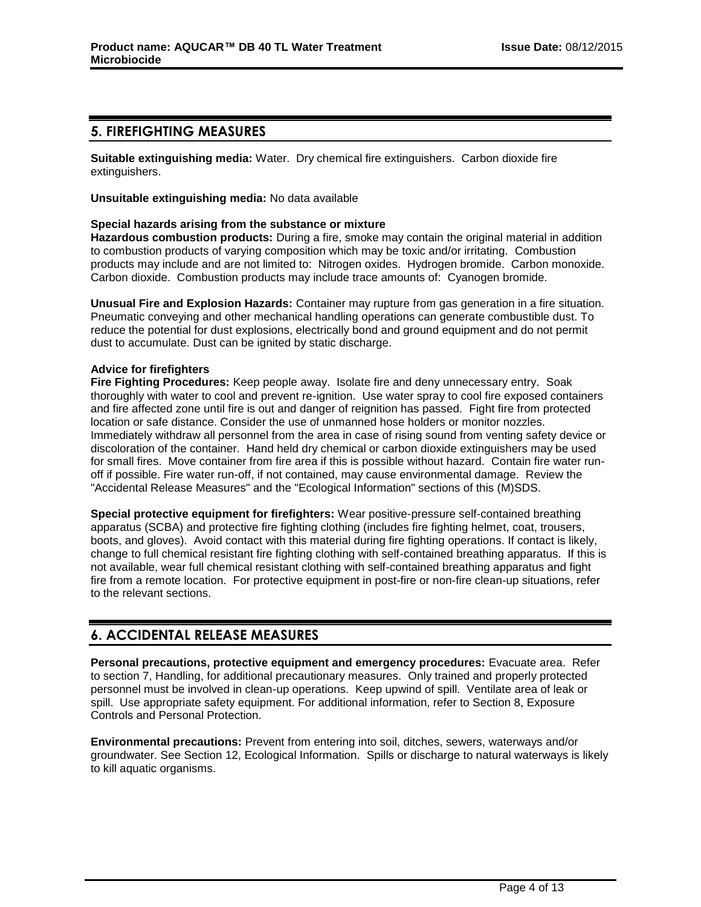# **5. FIREFIGHTING MEASURES**

**Suitable extinguishing media:** Water. Dry chemical fire extinguishers. Carbon dioxide fire extinguishers.

**Unsuitable extinguishing media:** No data available

## **Special hazards arising from the substance or mixture**

**Hazardous combustion products:** During a fire, smoke may contain the original material in addition to combustion products of varying composition which may be toxic and/or irritating. Combustion products may include and are not limited to: Nitrogen oxides. Hydrogen bromide. Carbon monoxide. Carbon dioxide. Combustion products may include trace amounts of: Cyanogen bromide.

**Unusual Fire and Explosion Hazards:** Container may rupture from gas generation in a fire situation. Pneumatic conveying and other mechanical handling operations can generate combustible dust. To reduce the potential for dust explosions, electrically bond and ground equipment and do not permit dust to accumulate. Dust can be ignited by static discharge.

## **Advice for firefighters**

**Fire Fighting Procedures:** Keep people away. Isolate fire and deny unnecessary entry. Soak thoroughly with water to cool and prevent re-ignition. Use water spray to cool fire exposed containers and fire affected zone until fire is out and danger of reignition has passed. Fight fire from protected location or safe distance. Consider the use of unmanned hose holders or monitor nozzles. Immediately withdraw all personnel from the area in case of rising sound from venting safety device or discoloration of the container. Hand held dry chemical or carbon dioxide extinguishers may be used for small fires. Move container from fire area if this is possible without hazard. Contain fire water runoff if possible. Fire water run-off, if not contained, may cause environmental damage. Review the "Accidental Release Measures" and the "Ecological Information" sections of this (M)SDS.

**Special protective equipment for firefighters:** Wear positive-pressure self-contained breathing apparatus (SCBA) and protective fire fighting clothing (includes fire fighting helmet, coat, trousers, boots, and gloves). Avoid contact with this material during fire fighting operations. If contact is likely, change to full chemical resistant fire fighting clothing with self-contained breathing apparatus. If this is not available, wear full chemical resistant clothing with self-contained breathing apparatus and fight fire from a remote location. For protective equipment in post-fire or non-fire clean-up situations, refer to the relevant sections.

# **6. ACCIDENTAL RELEASE MEASURES**

**Personal precautions, protective equipment and emergency procedures:** Evacuate area. Refer to section 7, Handling, for additional precautionary measures. Only trained and properly protected personnel must be involved in clean-up operations. Keep upwind of spill. Ventilate area of leak or spill. Use appropriate safety equipment. For additional information, refer to Section 8, Exposure Controls and Personal Protection.

**Environmental precautions:** Prevent from entering into soil, ditches, sewers, waterways and/or groundwater. See Section 12, Ecological Information. Spills or discharge to natural waterways is likely to kill aquatic organisms.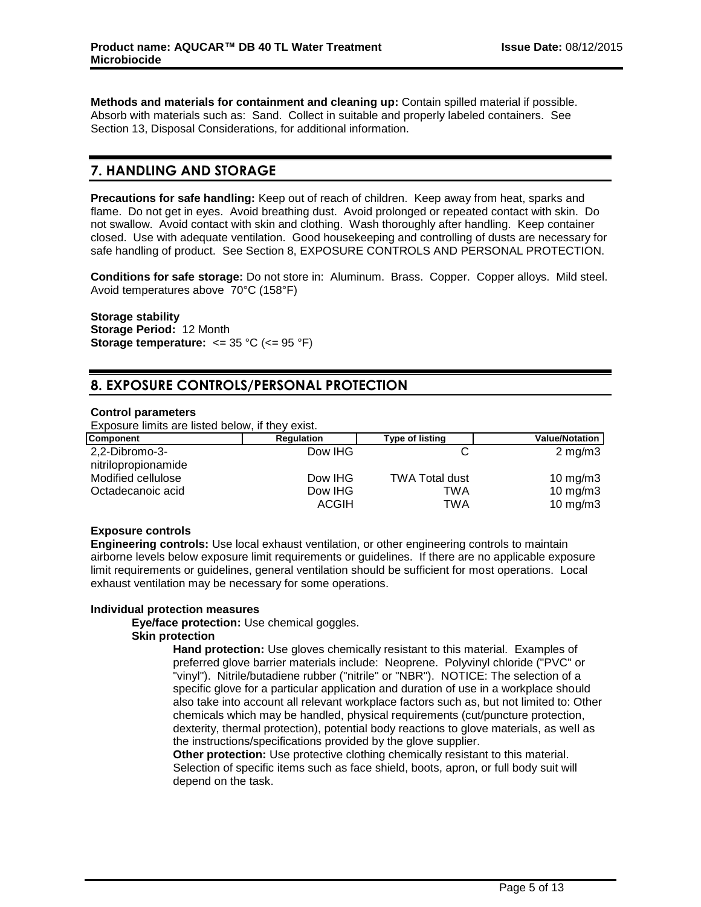**Methods and materials for containment and cleaning up:** Contain spilled material if possible. Absorb with materials such as: Sand. Collect in suitable and properly labeled containers. See Section 13, Disposal Considerations, for additional information.

# **7. HANDLING AND STORAGE**

**Precautions for safe handling:** Keep out of reach of children. Keep away from heat, sparks and flame. Do not get in eyes. Avoid breathing dust. Avoid prolonged or repeated contact with skin. Do not swallow. Avoid contact with skin and clothing. Wash thoroughly after handling. Keep container closed. Use with adequate ventilation. Good housekeeping and controlling of dusts are necessary for safe handling of product. See Section 8, EXPOSURE CONTROLS AND PERSONAL PROTECTION.

**Conditions for safe storage:** Do not store in: Aluminum. Brass. Copper. Copper alloys. Mild steel. Avoid temperatures above 70°C (158°F)

## **Storage stability**

**Storage Period:** 12 Month **Storage temperature:**  $\leq$  35 °C ( $\leq$  95 °F)

# **8. EXPOSURE CONTROLS/PERSONAL PROTECTION**

#### **Control parameters**

Exposure limits are listed below, if they exist.

| Component                             | <b>Regulation</b> | <b>Type of listing</b> | <b>Value/Notation</b> |
|---------------------------------------|-------------------|------------------------|-----------------------|
| 2,2-Dibromo-3-<br>nitrilopropionamide | Dow IHG           |                        | $2 \text{ mg/m}$      |
| Modified cellulose                    | Dow IHG           | <b>TWA Total dust</b>  | 10 mg/m $3$           |
| Octadecanoic acid                     | Dow IHG           | TWA                    | $10 \text{ mg/m}$     |
|                                       | <b>ACGIH</b>      | TWA                    | 10 mg/m $3$           |

# **Exposure controls**

**Engineering controls:** Use local exhaust ventilation, or other engineering controls to maintain airborne levels below exposure limit requirements or guidelines. If there are no applicable exposure limit requirements or guidelines, general ventilation should be sufficient for most operations. Local exhaust ventilation may be necessary for some operations.

#### **Individual protection measures**

# **Eye/face protection:** Use chemical goggles.

# **Skin protection**

**Hand protection:** Use gloves chemically resistant to this material. Examples of preferred glove barrier materials include: Neoprene. Polyvinyl chloride ("PVC" or "vinyl"). Nitrile/butadiene rubber ("nitrile" or "NBR"). NOTICE: The selection of a specific glove for a particular application and duration of use in a workplace should also take into account all relevant workplace factors such as, but not limited to: Other chemicals which may be handled, physical requirements (cut/puncture protection, dexterity, thermal protection), potential body reactions to glove materials, as well as the instructions/specifications provided by the glove supplier.

**Other protection:** Use protective clothing chemically resistant to this material. Selection of specific items such as face shield, boots, apron, or full body suit will depend on the task.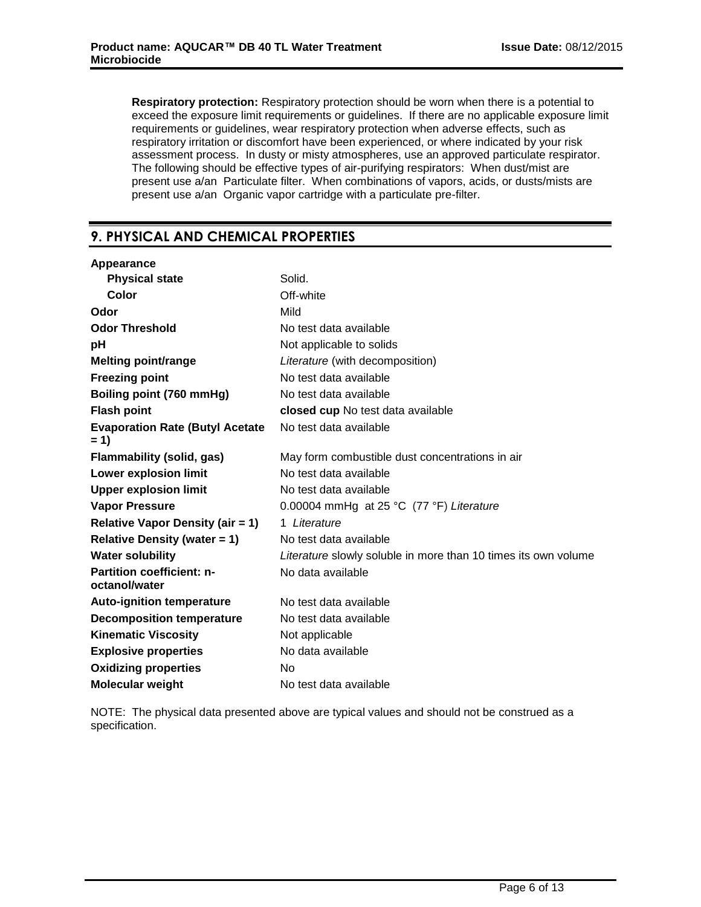**Respiratory protection:** Respiratory protection should be worn when there is a potential to exceed the exposure limit requirements or guidelines. If there are no applicable exposure limit requirements or guidelines, wear respiratory protection when adverse effects, such as respiratory irritation or discomfort have been experienced, or where indicated by your risk assessment process. In dusty or misty atmospheres, use an approved particulate respirator. The following should be effective types of air-purifying respirators: When dust/mist are present use a/an Particulate filter. When combinations of vapors, acids, or dusts/mists are present use a/an Organic vapor cartridge with a particulate pre-filter.

# **9. PHYSICAL AND CHEMICAL PROPERTIES**

| Appearance                                        |                                                                |
|---------------------------------------------------|----------------------------------------------------------------|
| <b>Physical state</b>                             | Solid.                                                         |
| Color                                             | Off-white                                                      |
| Odor                                              | Mild                                                           |
| <b>Odor Threshold</b>                             | No test data available                                         |
| рH                                                | Not applicable to solids                                       |
| <b>Melting point/range</b>                        | Literature (with decomposition)                                |
| <b>Freezing point</b>                             | No test data available                                         |
| Boiling point (760 mmHg)                          | No test data available                                         |
| <b>Flash point</b>                                | closed cup No test data available                              |
| <b>Evaporation Rate (Butyl Acetate</b><br>$= 1$   | No test data available                                         |
| Flammability (solid, gas)                         | May form combustible dust concentrations in air                |
| Lower explosion limit                             | No test data available                                         |
| <b>Upper explosion limit</b>                      | No test data available                                         |
| <b>Vapor Pressure</b>                             | 0.00004 mmHg at 25 °C (77 °F) Literature                       |
| <b>Relative Vapor Density (air = 1)</b>           | 1 Literature                                                   |
| <b>Relative Density (water = 1)</b>               | No test data available                                         |
| <b>Water solubility</b>                           | Literature slowly soluble in more than 10 times its own volume |
| <b>Partition coefficient: n-</b><br>octanol/water | No data available                                              |
| <b>Auto-ignition temperature</b>                  | No test data available                                         |
| <b>Decomposition temperature</b>                  | No test data available                                         |
| <b>Kinematic Viscosity</b>                        | Not applicable                                                 |
| <b>Explosive properties</b>                       | No data available                                              |
| <b>Oxidizing properties</b>                       | N <sub>o</sub>                                                 |
| <b>Molecular weight</b>                           | No test data available                                         |

NOTE: The physical data presented above are typical values and should not be construed as a specification.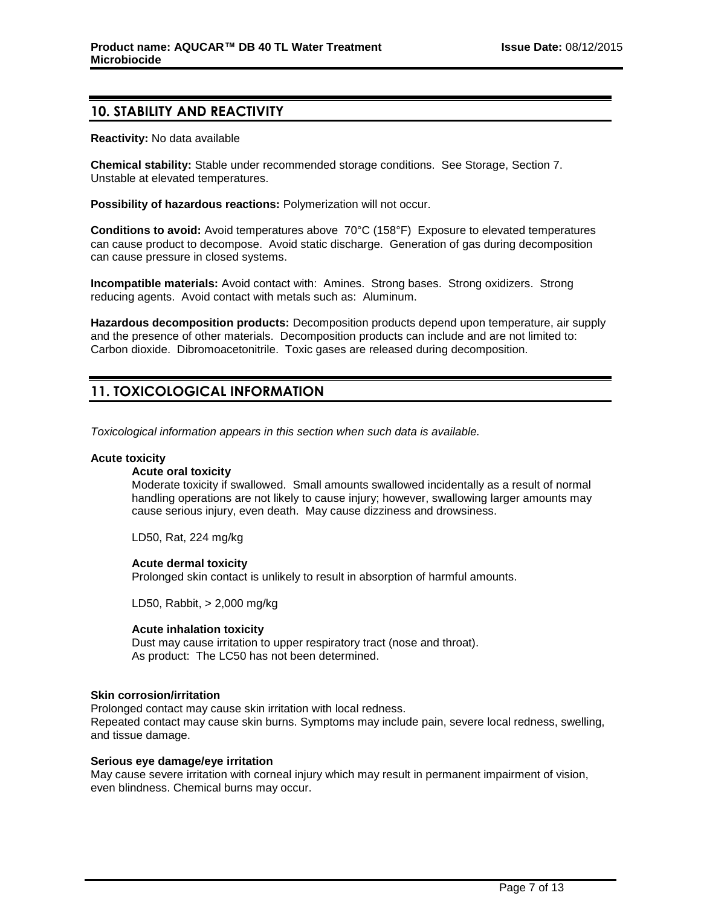# **10. STABILITY AND REACTIVITY**

**Reactivity:** No data available

**Chemical stability:** Stable under recommended storage conditions. See Storage, Section 7. Unstable at elevated temperatures.

**Possibility of hazardous reactions:** Polymerization will not occur.

**Conditions to avoid:** Avoid temperatures above 70°C (158°F) Exposure to elevated temperatures can cause product to decompose. Avoid static discharge. Generation of gas during decomposition can cause pressure in closed systems.

**Incompatible materials:** Avoid contact with: Amines. Strong bases. Strong oxidizers. Strong reducing agents. Avoid contact with metals such as: Aluminum.

**Hazardous decomposition products:** Decomposition products depend upon temperature, air supply and the presence of other materials. Decomposition products can include and are not limited to: Carbon dioxide. Dibromoacetonitrile. Toxic gases are released during decomposition.

# **11. TOXICOLOGICAL INFORMATION**

*Toxicological information appears in this section when such data is available.*

#### **Acute toxicity**

#### **Acute oral toxicity**

Moderate toxicity if swallowed. Small amounts swallowed incidentally as a result of normal handling operations are not likely to cause injury; however, swallowing larger amounts may cause serious injury, even death. May cause dizziness and drowsiness.

LD50, Rat, 224 mg/kg

#### **Acute dermal toxicity**

Prolonged skin contact is unlikely to result in absorption of harmful amounts.

LD50, Rabbit, > 2,000 mg/kg

#### **Acute inhalation toxicity**

Dust may cause irritation to upper respiratory tract (nose and throat). As product: The LC50 has not been determined.

#### **Skin corrosion/irritation**

Prolonged contact may cause skin irritation with local redness. Repeated contact may cause skin burns. Symptoms may include pain, severe local redness, swelling, and tissue damage.

#### **Serious eye damage/eye irritation**

May cause severe irritation with corneal injury which may result in permanent impairment of vision, even blindness. Chemical burns may occur.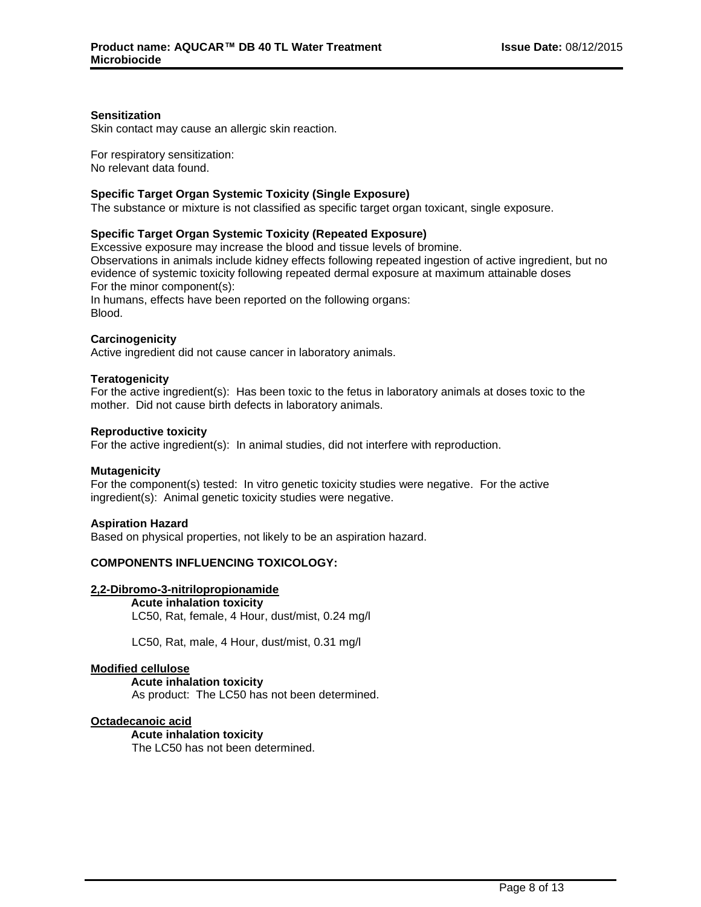### **Sensitization**

Skin contact may cause an allergic skin reaction.

For respiratory sensitization: No relevant data found.

### **Specific Target Organ Systemic Toxicity (Single Exposure)**

The substance or mixture is not classified as specific target organ toxicant, single exposure.

## **Specific Target Organ Systemic Toxicity (Repeated Exposure)**

Excessive exposure may increase the blood and tissue levels of bromine. Observations in animals include kidney effects following repeated ingestion of active ingredient, but no evidence of systemic toxicity following repeated dermal exposure at maximum attainable doses For the minor component(s): In humans, effects have been reported on the following organs: Blood.

## **Carcinogenicity**

Active ingredient did not cause cancer in laboratory animals.

#### **Teratogenicity**

For the active ingredient(s): Has been toxic to the fetus in laboratory animals at doses toxic to the mother. Did not cause birth defects in laboratory animals.

#### **Reproductive toxicity**

For the active ingredient(s): In animal studies, did not interfere with reproduction.

#### **Mutagenicity**

For the component(s) tested: In vitro genetic toxicity studies were negative. For the active ingredient(s): Animal genetic toxicity studies were negative.

#### **Aspiration Hazard**

Based on physical properties, not likely to be an aspiration hazard.

#### **COMPONENTS INFLUENCING TOXICOLOGY:**

#### **2,2-Dibromo-3-nitrilopropionamide**

**Acute inhalation toxicity**

LC50, Rat, female, 4 Hour, dust/mist, 0.24 mg/l

LC50, Rat, male, 4 Hour, dust/mist, 0.31 mg/l

#### **Modified cellulose**

**Acute inhalation toxicity**

As product: The LC50 has not been determined.

#### **Octadecanoic acid**

**Acute inhalation toxicity** The LC50 has not been determined.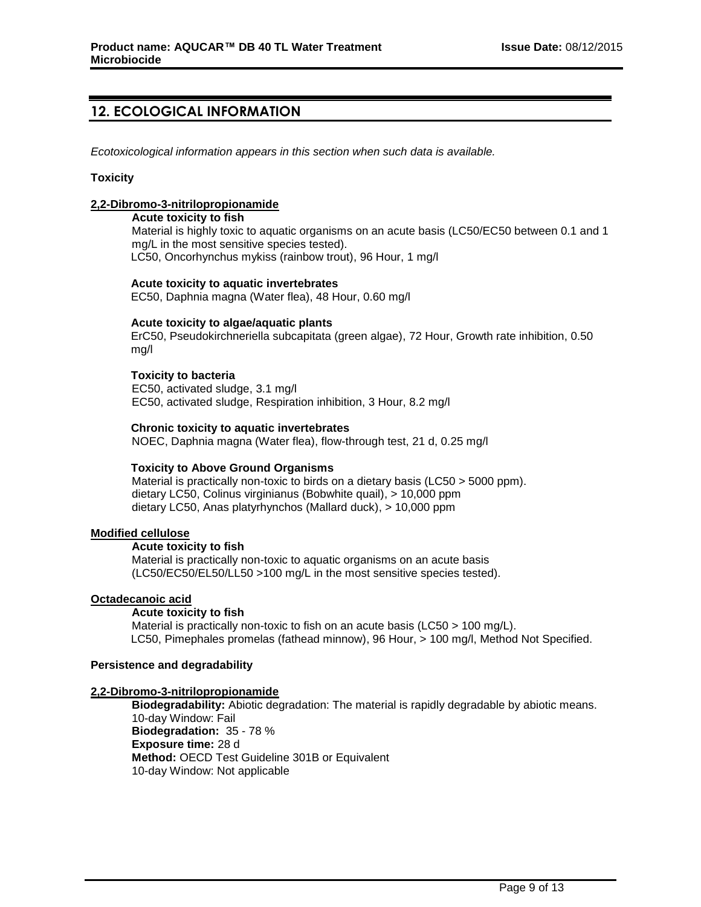# **12. ECOLOGICAL INFORMATION**

*Ecotoxicological information appears in this section when such data is available.*

#### **Toxicity**

## **2,2-Dibromo-3-nitrilopropionamide**

#### **Acute toxicity to fish**

Material is highly toxic to aquatic organisms on an acute basis (LC50/EC50 between 0.1 and 1 mg/L in the most sensitive species tested). LC50, Oncorhynchus mykiss (rainbow trout), 96 Hour, 1 mg/l

#### **Acute toxicity to aquatic invertebrates**

EC50, Daphnia magna (Water flea), 48 Hour, 0.60 mg/l

#### **Acute toxicity to algae/aquatic plants**

ErC50, Pseudokirchneriella subcapitata (green algae), 72 Hour, Growth rate inhibition, 0.50 mg/l

## **Toxicity to bacteria**

EC50, activated sludge, 3.1 mg/l EC50, activated sludge, Respiration inhibition, 3 Hour, 8.2 mg/l

## **Chronic toxicity to aquatic invertebrates**

NOEC, Daphnia magna (Water flea), flow-through test, 21 d, 0.25 mg/l

#### **Toxicity to Above Ground Organisms**

Material is practically non-toxic to birds on a dietary basis (LC50 > 5000 ppm). dietary LC50, Colinus virginianus (Bobwhite quail), > 10,000 ppm dietary LC50, Anas platyrhynchos (Mallard duck), > 10,000 ppm

#### **Modified cellulose**

#### **Acute toxicity to fish**

Material is practically non-toxic to aquatic organisms on an acute basis (LC50/EC50/EL50/LL50 >100 mg/L in the most sensitive species tested).

#### **Octadecanoic acid**

#### **Acute toxicity to fish**

Material is practically non-toxic to fish on an acute basis (LC50 > 100 mg/L). LC50, Pimephales promelas (fathead minnow), 96 Hour, > 100 mg/l, Method Not Specified.

#### **Persistence and degradability**

#### **2,2-Dibromo-3-nitrilopropionamide**

**Biodegradability:** Abiotic degradation: The material is rapidly degradable by abiotic means. 10-day Window: Fail **Biodegradation:** 35 - 78 % **Exposure time:** 28 d **Method:** OECD Test Guideline 301B or Equivalent 10-day Window: Not applicable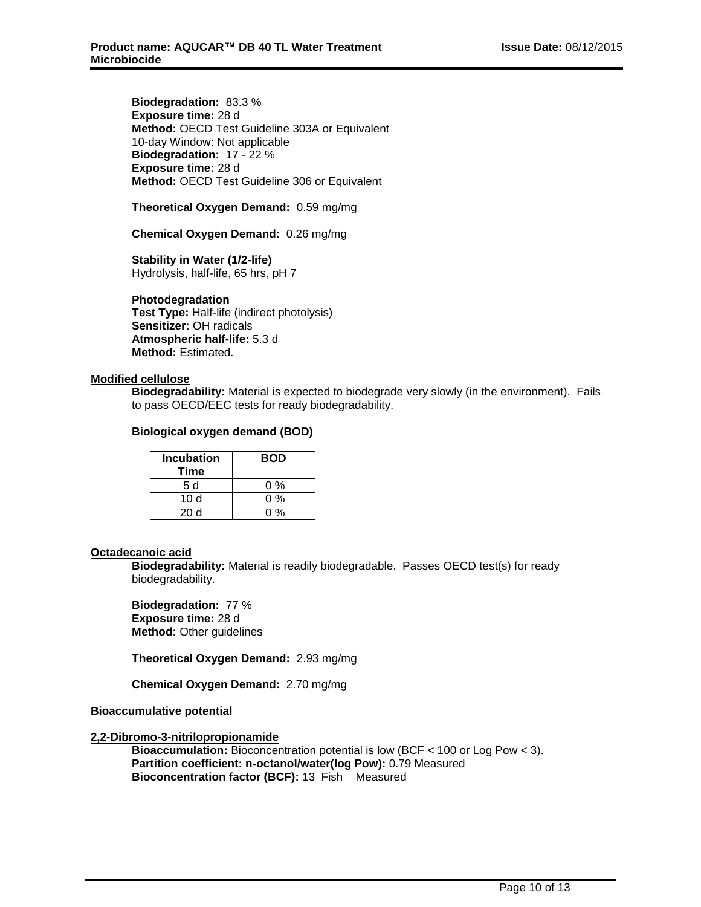**Biodegradation:** 83.3 % **Exposure time:** 28 d **Method:** OECD Test Guideline 303A or Equivalent 10-day Window: Not applicable **Biodegradation:** 17 - 22 % **Exposure time:** 28 d **Method:** OECD Test Guideline 306 or Equivalent

**Theoretical Oxygen Demand:** 0.59 mg/mg

**Chemical Oxygen Demand:** 0.26 mg/mg

**Stability in Water (1/2-life)** Hydrolysis, half-life, 65 hrs, pH 7

#### **Photodegradation**

**Test Type:** Half-life (indirect photolysis) **Sensitizer:** OH radicals **Atmospheric half-life:** 5.3 d **Method:** Estimated.

#### **Modified cellulose**

**Biodegradability:** Material is expected to biodegrade very slowly (in the environment). Fails to pass OECD/EEC tests for ready biodegradability.

#### **Biological oxygen demand (BOD)**

| <b>Incubation</b><br>Time | <b>BOD</b> |
|---------------------------|------------|
| 5 d                       | 0 %        |
| 10 $d$                    | 0 %        |
| 20 d                      | በ %        |

#### **Octadecanoic acid**

**Biodegradability:** Material is readily biodegradable. Passes OECD test(s) for ready biodegradability.

**Biodegradation:** 77 % **Exposure time:** 28 d **Method:** Other guidelines

**Theoretical Oxygen Demand:** 2.93 mg/mg

**Chemical Oxygen Demand:** 2.70 mg/mg

**Bioaccumulative potential**

#### **2,2-Dibromo-3-nitrilopropionamide**

**Bioaccumulation:** Bioconcentration potential is low (BCF < 100 or Log Pow < 3). **Partition coefficient: n-octanol/water(log Pow):** 0.79 Measured **Bioconcentration factor (BCF):** 13 Fish Measured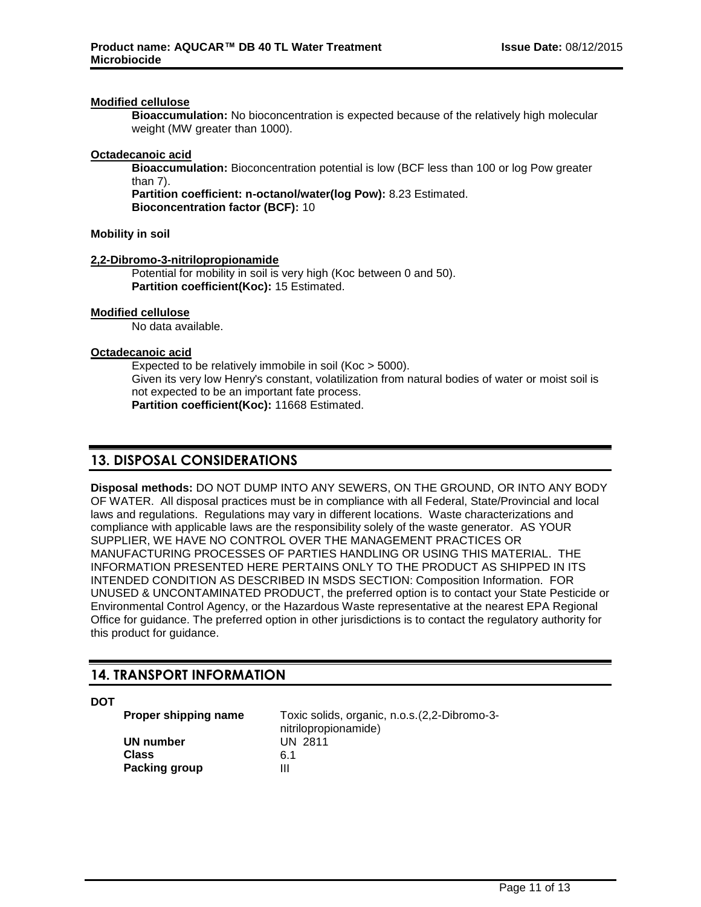#### **Modified cellulose**

**Bioaccumulation:** No bioconcentration is expected because of the relatively high molecular weight (MW greater than 1000).

### **Octadecanoic acid**

**Bioaccumulation:** Bioconcentration potential is low (BCF less than 100 or log Pow greater than 7).

**Partition coefficient: n-octanol/water(log Pow):** 8.23 Estimated. **Bioconcentration factor (BCF):** 10

#### **Mobility in soil**

## **2,2-Dibromo-3-nitrilopropionamide**

Potential for mobility in soil is very high (Koc between 0 and 50). **Partition coefficient(Koc):** 15 Estimated.

#### **Modified cellulose**

No data available.

#### **Octadecanoic acid**

Expected to be relatively immobile in soil (Koc > 5000). Given its very low Henry's constant, volatilization from natural bodies of water or moist soil is not expected to be an important fate process. **Partition coefficient(Koc):** 11668 Estimated.

# **13. DISPOSAL CONSIDERATIONS**

**Disposal methods:** DO NOT DUMP INTO ANY SEWERS, ON THE GROUND, OR INTO ANY BODY OF WATER. All disposal practices must be in compliance with all Federal, State/Provincial and local laws and regulations. Regulations may vary in different locations. Waste characterizations and compliance with applicable laws are the responsibility solely of the waste generator. AS YOUR SUPPLIER, WE HAVE NO CONTROL OVER THE MANAGEMENT PRACTICES OR MANUFACTURING PROCESSES OF PARTIES HANDLING OR USING THIS MATERIAL. THE INFORMATION PRESENTED HERE PERTAINS ONLY TO THE PRODUCT AS SHIPPED IN ITS INTENDED CONDITION AS DESCRIBED IN MSDS SECTION: Composition Information. FOR UNUSED & UNCONTAMINATED PRODUCT, the preferred option is to contact your State Pesticide or Environmental Control Agency, or the Hazardous Waste representative at the nearest EPA Regional Office for guidance. The preferred option in other jurisdictions is to contact the regulatory authority for this product for guidance.

# **14. TRANSPORT INFORMATION**

**DOT**

**UN number** UN 2811 **Class** 6.1 **Packing group III** 

**Proper shipping name** Toxic solids, organic, n.o.s.(2,2-Dibromo-3 nitrilopropionamide)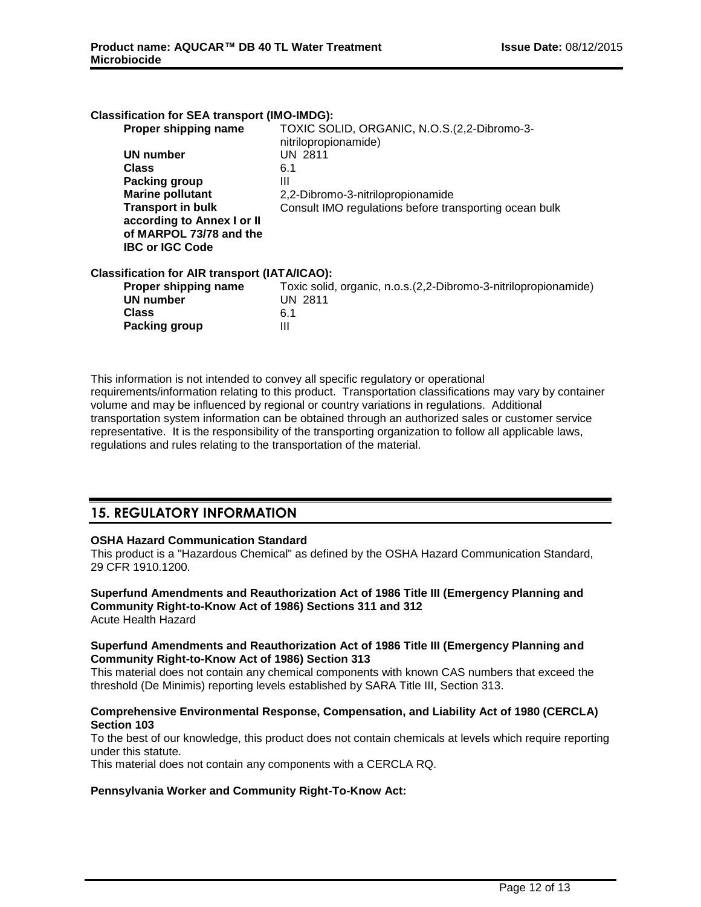| TOXIC SOLID, ORGANIC, N.O.S.(2,2-Dibromo-3-<br>nitrilopropionamide)<br>UN 2811<br>2,2-Dibromo-3-nitrilopropionamide<br>Consult IMO regulations before transporting ocean bulk |
|-------------------------------------------------------------------------------------------------------------------------------------------------------------------------------|
|                                                                                                                                                                               |
|                                                                                                                                                                               |
|                                                                                                                                                                               |
|                                                                                                                                                                               |
|                                                                                                                                                                               |
|                                                                                                                                                                               |
| <b>Classification for AIR transport (IATA/ICAO):</b>                                                                                                                          |
| Toxic solid, organic, n.o.s.(2,2-Dibromo-3-nitrilopropionamide)<br><b>UN 2811</b>                                                                                             |
|                                                                                                                                                                               |

This information is not intended to convey all specific regulatory or operational requirements/information relating to this product. Transportation classifications may vary by container volume and may be influenced by regional or country variations in regulations. Additional transportation system information can be obtained through an authorized sales or customer service representative. It is the responsibility of the transporting organization to follow all applicable laws, regulations and rules relating to the transportation of the material.

# **15. REGULATORY INFORMATION**

#### **OSHA Hazard Communication Standard**

This product is a "Hazardous Chemical" as defined by the OSHA Hazard Communication Standard, 29 CFR 1910.1200.

**Superfund Amendments and Reauthorization Act of 1986 Title III (Emergency Planning and Community Right-to-Know Act of 1986) Sections 311 and 312** Acute Health Hazard

#### **Superfund Amendments and Reauthorization Act of 1986 Title III (Emergency Planning and Community Right-to-Know Act of 1986) Section 313**

This material does not contain any chemical components with known CAS numbers that exceed the threshold (De Minimis) reporting levels established by SARA Title III, Section 313.

## **Comprehensive Environmental Response, Compensation, and Liability Act of 1980 (CERCLA) Section 103**

To the best of our knowledge, this product does not contain chemicals at levels which require reporting under this statute.

This material does not contain any components with a CERCLA RQ.

#### **Pennsylvania Worker and Community Right-To-Know Act:**